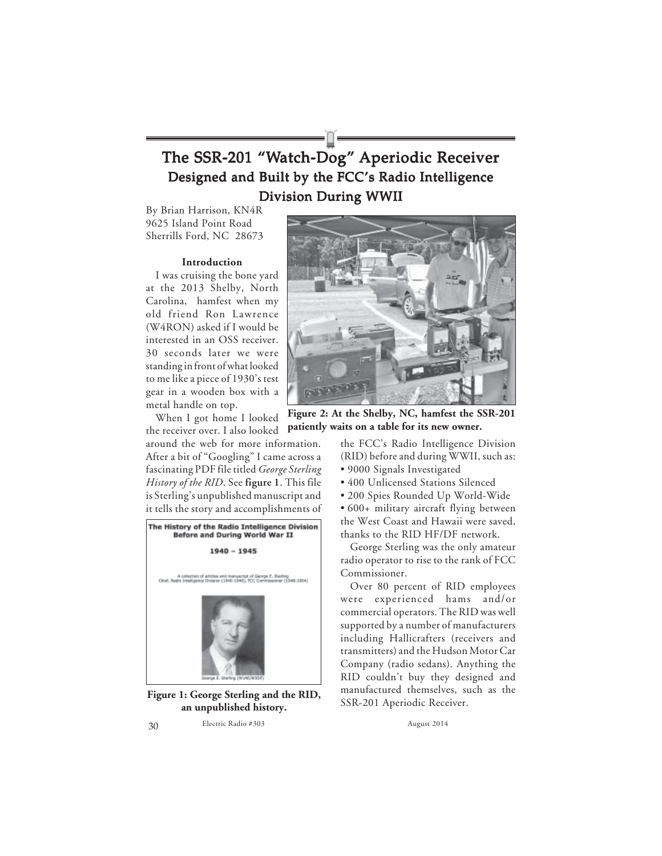# The SSR-201 "Watch-Dog" Aperiodic Receiver Designed and Built by the FCC's Radio Intelligence Division During WWII

By Brian Harrison, KN4R 9625 Island Point Road Sherrills Ford, NC 28673

#### **Introduction**

I was cruising the bone yard at the 2013 Shelby, North Carolina, hamfest when my old friend Ron Lawrence (W4RON) asked if I would be interested in an OSS receiver. 30 seconds later we were standing in front of what looked to me like a piece of 1930's test gear in a wooden box with a metal handle on top.

When I got home I looked the receiver over. I also looked

around the web for more information. After a bit of "Googling" I came across a fascinating PDF file titled *George Sterling History of the RID*. See **figure 1**. This file is Sterling's unpublished manuscript and it tells the story and accomplishments of



**Figure 1: George Sterling and the RID, an unpublished history.**



**Figure 2: At the Shelby, NC, hamfest the SSR-201 patiently waits on a table for its new owner.**

the FCC's Radio Intelligence Division (RID) before and during WWII, such as:

- 9000 Signals Investigated
- 400 Unlicensed Stations Silenced
- 200 Spies Rounded Up World-Wide

• 600+ military aircraft flying between the West Coast and Hawaii were saved, thanks to the RID HF/DF network.

George Sterling was the only amateur radio operator to rise to the rank of FCC Commissioner.

Over 80 percent of RID employees were experienced hams and/or commercial operators. The RID was well supported by a number of manufacturers including Hallicrafters (receivers and transmitters) and the Hudson Motor Car Company (radio sedans). Anything the RID couldn't buy they designed and manufactured themselves, such as the SSR-201 Aperiodic Receiver.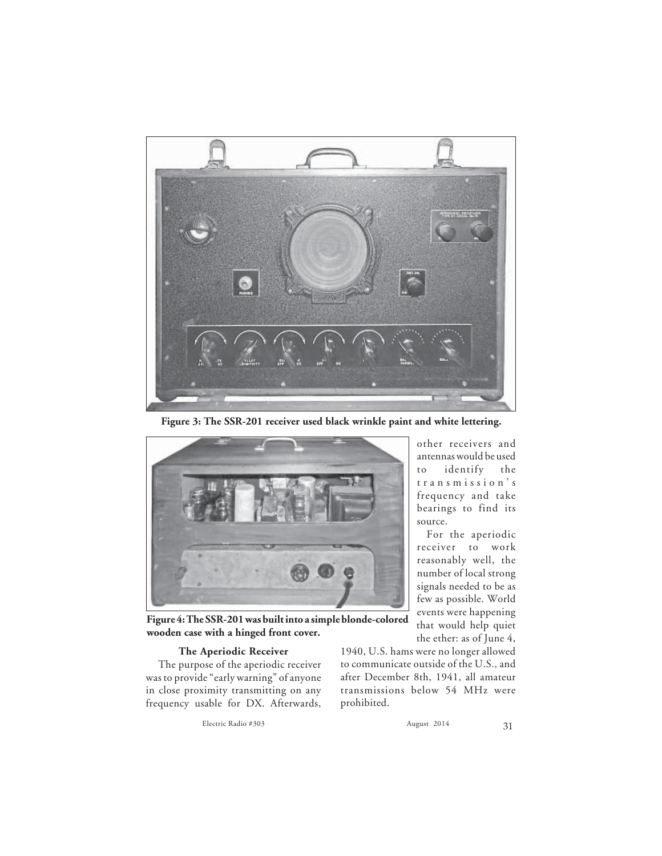

**Figure 3: The SSR-201 receiver used black wrinkle paint and white lettering.**



**Figure 4: The SSR-201 was built into a simple blonde-colored wooden case with a hinged front cover.**

#### **The Aperiodic Receiver**

 The purpose of the aperiodic receiver was to provide "early warning" of anyone in close proximity transmitting on any frequency usable for DX. Afterwards,

Electric Radio #303 August 2014 August 2014

other receivers and antennas would be used to identify the transmission's frequency and take bearings to find its source.

For the aperiodic receiver to work reasonably well, the number of local strong signals needed to be as few as possible. World events were happening that would help quiet the ether: as of June 4,

1940, U.S. hams were no longer allowed to communicate outside of the U.S., and after December 8th, 1941, all amateur transmissions below 54 MHz were prohibited.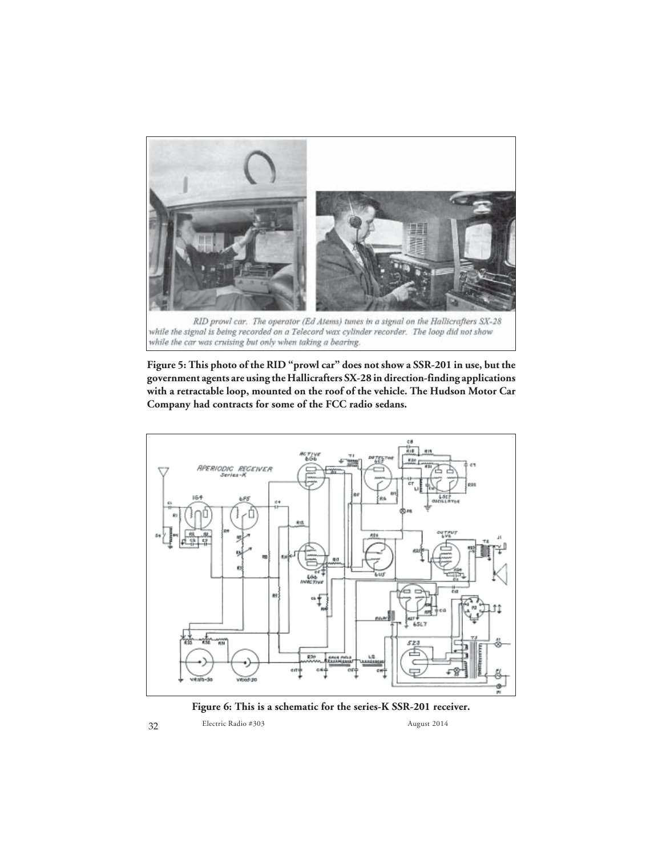

**Figure 5: This photo of the RID "prowl car" does not show a SSR-201 in use, but the government agents are using the Hallicrafters SX-28 in direction-finding applications with a retractable loop, mounted on the roof of the vehicle. The Hudson Motor Car Company had contracts for some of the FCC radio sedans.**



**Figure 6: This is a schematic for the series-K SSR-201 receiver.**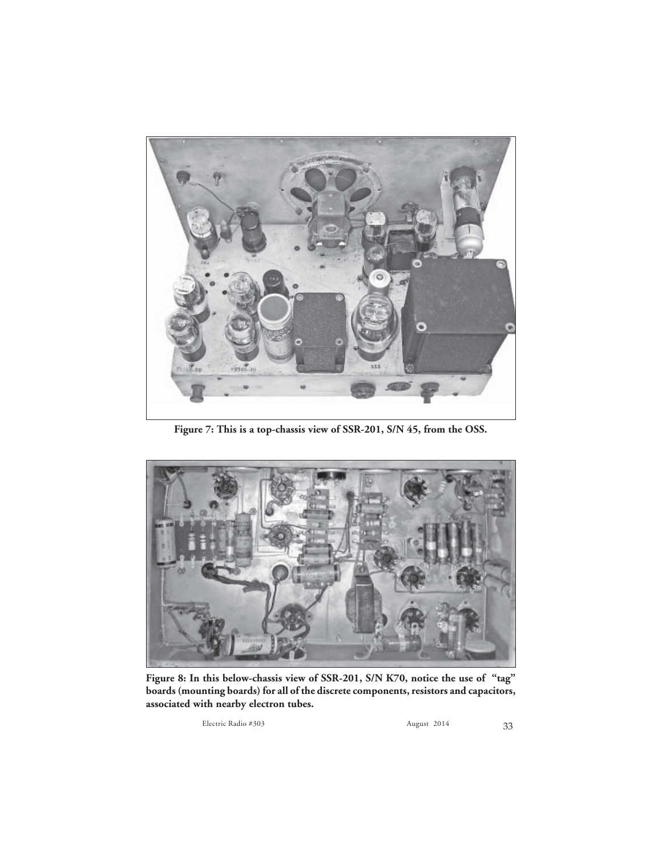

**Figure 7: This is a top-chassis view of SSR-201, S/N 45, from the OSS.**



**Figure 8: In this below-chassis view of SSR-201, S/N K70, notice the use of "tag" boards (mounting boards) for all of the discrete components, resistors and capacitors, associated with nearby electron tubes.**

Electric Radio #303 August 2014 August 2014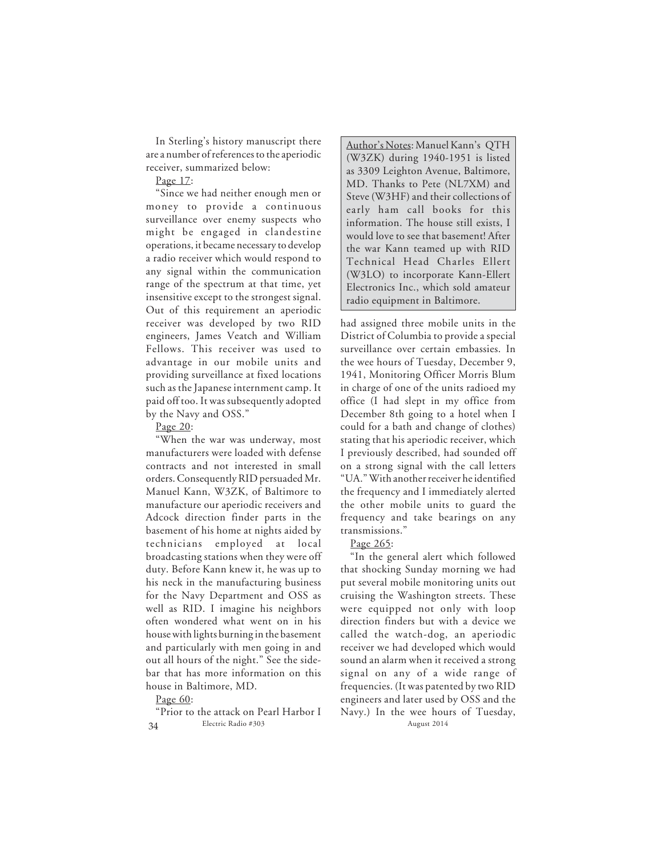In Sterling's history manuscript there are a number of references to the aperiodic receiver, summarized below:

Page 17:

"Since we had neither enough men or money to provide a continuous surveillance over enemy suspects who might be engaged in clandestine operations, it became necessary to develop a radio receiver which would respond to any signal within the communication range of the spectrum at that time, yet insensitive except to the strongest signal. Out of this requirement an aperiodic receiver was developed by two RID engineers, James Veatch and William Fellows. This receiver was used to advantage in our mobile units and providing surveillance at fixed locations such as the Japanese internment camp. It paid off too. It was subsequently adopted by the Navy and OSS."

Page 20:

"When the war was underway, most manufacturers were loaded with defense contracts and not interested in small orders. Consequently RID persuaded Mr. Manuel Kann, W3ZK, of Baltimore to manufacture our aperiodic receivers and Adcock direction finder parts in the basement of his home at nights aided by technicians employed at local broadcasting stations when they were off duty. Before Kann knew it, he was up to his neck in the manufacturing business for the Navy Department and OSS as well as RID. I imagine his neighbors often wondered what went on in his house with lights burning in the basement and particularly with men going in and out all hours of the night." See the sidebar that has more information on this house in Baltimore, MD.

Page 60:

34 Electric Radio #303 August 2014 "Prior to the attack on Pearl Harbor I

Author's Notes: Manuel Kann's QTH (W3ZK) during 1940-1951 is listed as 3309 Leighton Avenue, Baltimore, MD. Thanks to Pete (NL7XM) and Steve (W3HF) and their collections of early ham call books for this information. The house still exists, I would love to see that basement! After the war Kann teamed up with RID Technical Head Charles Ellert (W3LO) to incorporate Kann-Ellert Electronics Inc., which sold amateur radio equipment in Baltimore.

had assigned three mobile units in the District of Columbia to provide a special surveillance over certain embassies. In the wee hours of Tuesday, December 9, 1941, Monitoring Officer Morris Blum in charge of one of the units radioed my office (I had slept in my office from December 8th going to a hotel when I could for a bath and change of clothes) stating that his aperiodic receiver, which I previously described, had sounded off on a strong signal with the call letters "UA." With another receiver he identified the frequency and I immediately alerted the other mobile units to guard the frequency and take bearings on any transmissions."

### Page 265:

"In the general alert which followed that shocking Sunday morning we had put several mobile monitoring units out cruising the Washington streets. These were equipped not only with loop direction finders but with a device we called the watch-dog, an aperiodic receiver we had developed which would sound an alarm when it received a strong signal on any of a wide range of frequencies. (It was patented by two RID engineers and later used by OSS and the Navy.) In the wee hours of Tuesday,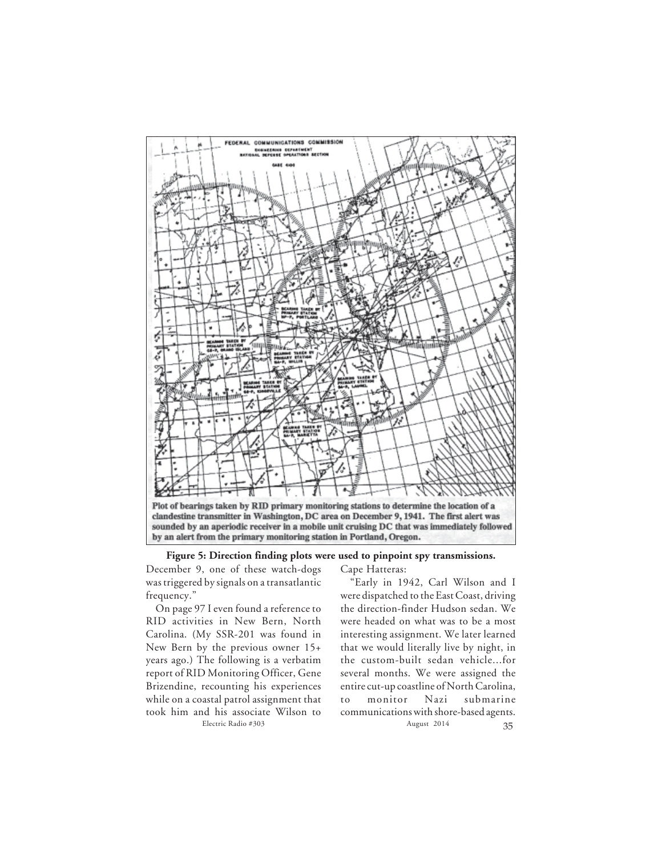

**Figure 5: Direction finding plots were used to pinpoint spy transmissions.**

December 9, one of these watch-dogs was triggered by signals on a transatlantic frequency."

On page 97 I even found a reference to RID activities in New Bern, North Carolina. (My SSR-201 was found in New Bern by the previous owner 15+ years ago.) The following is a verbatim report of RID Monitoring Officer, Gene Brizendine, recounting his experiences while on a coastal patrol assignment that took him and his associate Wilson to

Cape Hatteras:

Electric Radio #303 August 2014 August 2014 "Early in 1942, Carl Wilson and I were dispatched to the East Coast, driving the direction-finder Hudson sedan. We were headed on what was to be a most interesting assignment. We later learned that we would literally live by night, in the custom-built sedan vehicle...for several months. We were assigned the entire cut-up coastline of North Carolina, to monitor Nazi submarine communications with shore-based agents.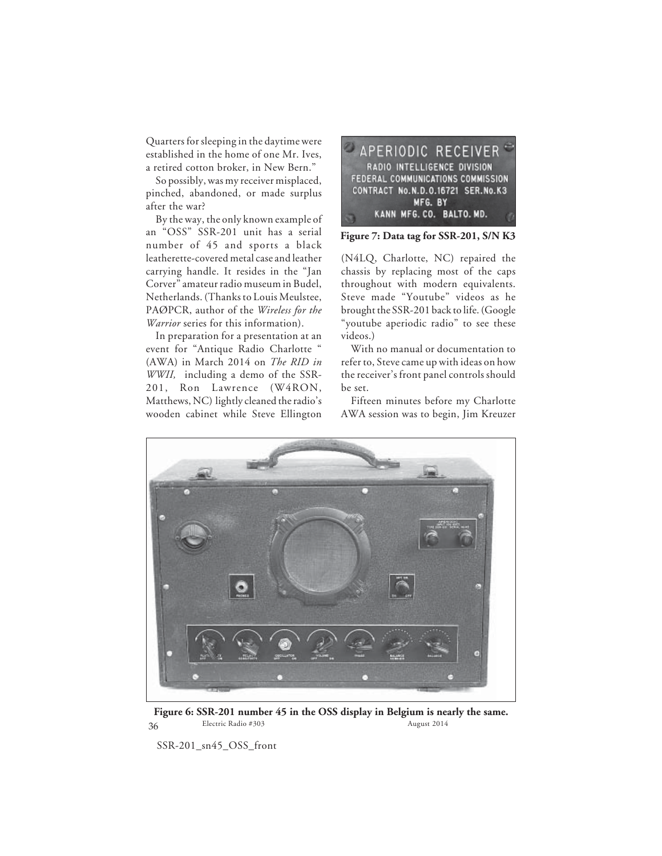Quarters for sleeping in the daytime were established in the home of one Mr. Ives, a retired cotton broker, in New Bern."

So possibly, was my receiver misplaced, pinched, abandoned, or made surplus after the war?

By the way, the only known example of an "OSS" SSR-201 unit has a serial number of 45 and sports a black leatherette-covered metal case and leather carrying handle. It resides in the "Jan Corver" amateur radio museum in Budel, Netherlands. (Thanks to Louis Meulstee, PAØPCR, author of the *Wireless for the Warrior* series for this information).

In preparation for a presentation at an event for "Antique Radio Charlotte " (AWA) in March 2014 on *The RID in WWII,* including a demo of the SSR-201, Ron Lawrence (W4RON, Matthews, NC) lightly cleaned the radio's wooden cabinet while Steve Ellington



**Figure 7: Data tag for SSR-201, S/N K3**

(N4LQ, Charlotte, NC) repaired the chassis by replacing most of the caps throughout with modern equivalents. Steve made "Youtube" videos as he brought the SSR-201 back to life. (Google "youtube aperiodic radio" to see these videos.)

With no manual or documentation to refer to, Steve came up with ideas on how the receiver's front panel controls should be set.

Fifteen minutes before my Charlotte AWA session was to begin, Jim Kreuzer



36 Electric Radio #303 August 2014 **Figure 6: SSR-201 number 45 in the OSS display in Belgium is nearly the same.**

SSR-201\_sn45\_OSS\_front